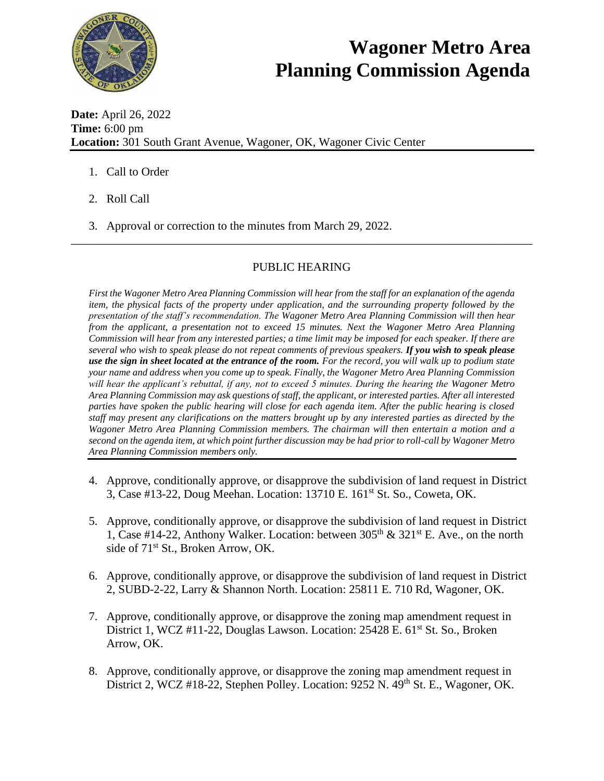

## **Wagoner Metro Area Planning Commission Agenda**

**Date:** April 26, 2022 **Time:** 6:00 pm **Location:** 301 South Grant Avenue, Wagoner, OK, Wagoner Civic Center

- 1. Call to Order
- 2. Roll Call
- 3. Approval or correction to the minutes from March 29, 2022.

## PUBLIC HEARING

\_\_\_\_\_\_\_\_\_\_\_\_\_\_\_\_\_\_\_\_\_\_\_\_\_\_\_\_\_\_\_\_\_\_\_\_\_\_\_\_\_\_\_\_\_\_\_\_\_\_\_\_\_\_\_\_\_\_\_\_\_\_\_\_\_\_\_\_\_\_\_\_\_\_\_\_\_\_

*First the Wagoner Metro Area Planning Commission will hear from the staff for an explanation of the agenda item, the physical facts of the property under application, and the surrounding property followed by the presentation of the staff's recommendation. The Wagoner Metro Area Planning Commission will then hear from the applicant, a presentation not to exceed 15 minutes. Next the Wagoner Metro Area Planning Commission will hear from any interested parties; a time limit may be imposed for each speaker. If there are several who wish to speak please do not repeat comments of previous speakers. If you wish to speak please use the sign in sheet located at the entrance of the room. For the record, you will walk up to podium state your name and address when you come up to speak. Finally, the Wagoner Metro Area Planning Commission will hear the applicant's rebuttal, if any, not to exceed 5 minutes. During the hearing the Wagoner Metro Area Planning Commission may ask questions of staff, the applicant, or interested parties. After all interested parties have spoken the public hearing will close for each agenda item. After the public hearing is closed staff may present any clarifications on the matters brought up by any interested parties as directed by the Wagoner Metro Area Planning Commission members. The chairman will then entertain a motion and a second on the agenda item, at which point further discussion may be had prior to roll-call by Wagoner Metro Area Planning Commission members only.* 

- 4. Approve, conditionally approve, or disapprove the subdivision of land request in District 3, Case #13-22, Doug Meehan. Location: 13710 E. 161st St. So., Coweta, OK.
- 5. Approve, conditionally approve, or disapprove the subdivision of land request in District 1, Case #14-22, Anthony Walker. Location: between  $305<sup>th</sup> \& 321<sup>st</sup>$  E. Ave., on the north side of  $71<sup>st</sup>$  St., Broken Arrow, OK.
- 6. Approve, conditionally approve, or disapprove the subdivision of land request in District 2, SUBD-2-22, Larry & Shannon North. Location: 25811 E. 710 Rd, Wagoner, OK.
- 7. Approve, conditionally approve, or disapprove the zoning map amendment request in District 1, WCZ #11-22, Douglas Lawson. Location: 25428 E. 61<sup>st</sup> St. So., Broken Arrow, OK.
- 8. Approve, conditionally approve, or disapprove the zoning map amendment request in District 2, WCZ #18-22, Stephen Polley. Location: 9252 N. 49<sup>th</sup> St. E., Wagoner, OK.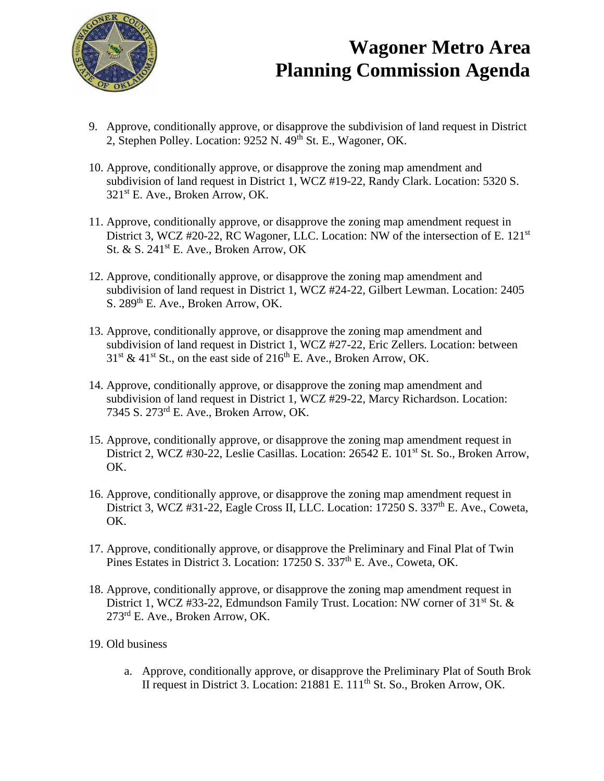

## **Wagoner Metro Area Planning Commission Agenda**

- 9. Approve, conditionally approve, or disapprove the subdivision of land request in District 2, Stephen Polley. Location: 9252 N. 49<sup>th</sup> St. E., Wagoner, OK.
- 10. Approve, conditionally approve, or disapprove the zoning map amendment and subdivision of land request in District 1, WCZ #19-22, Randy Clark. Location: 5320 S. 321st E. Ave., Broken Arrow, OK.
- 11. Approve, conditionally approve, or disapprove the zoning map amendment request in District 3, WCZ #20-22, RC Wagoner, LLC. Location: NW of the intersection of E. 121<sup>st</sup> St. & S.  $241^{st}$  E. Ave., Broken Arrow, OK
- 12. Approve, conditionally approve, or disapprove the zoning map amendment and subdivision of land request in District 1, WCZ #24-22, Gilbert Lewman. Location: 2405 S. 289<sup>th</sup> E. Ave., Broken Arrow, OK.
- 13. Approve, conditionally approve, or disapprove the zoning map amendment and subdivision of land request in District 1, WCZ #27-22, Eric Zellers. Location: between  $31<sup>st</sup>$  & 41<sup>st</sup> St., on the east side of 216<sup>th</sup> E. Ave., Broken Arrow, OK.
- 14. Approve, conditionally approve, or disapprove the zoning map amendment and subdivision of land request in District 1, WCZ #29-22, Marcy Richardson. Location: 7345 S. 273rd E. Ave., Broken Arrow, OK.
- 15. Approve, conditionally approve, or disapprove the zoning map amendment request in District 2, WCZ #30-22, Leslie Casillas. Location: 26542 E. 101<sup>st</sup> St. So., Broken Arrow, OK.
- 16. Approve, conditionally approve, or disapprove the zoning map amendment request in District 3, WCZ  $#31-22$ , Eagle Cross II, LLC. Location: 17250 S. 337<sup>th</sup> E. Ave., Coweta, OK.
- 17. Approve, conditionally approve, or disapprove the Preliminary and Final Plat of Twin Pines Estates in District 3. Location: 17250 S. 337<sup>th</sup> E. Ave., Coweta, OK.
- 18. Approve, conditionally approve, or disapprove the zoning map amendment request in District 1, WCZ #33-22, Edmundson Family Trust. Location: NW corner of  $31<sup>st</sup>$  St. & 273rd E. Ave., Broken Arrow, OK.
- 19. Old business
	- a. Approve, conditionally approve, or disapprove the Preliminary Plat of South Brok II request in District 3. Location: 21881 E. 111<sup>th</sup> St. So., Broken Arrow, OK.